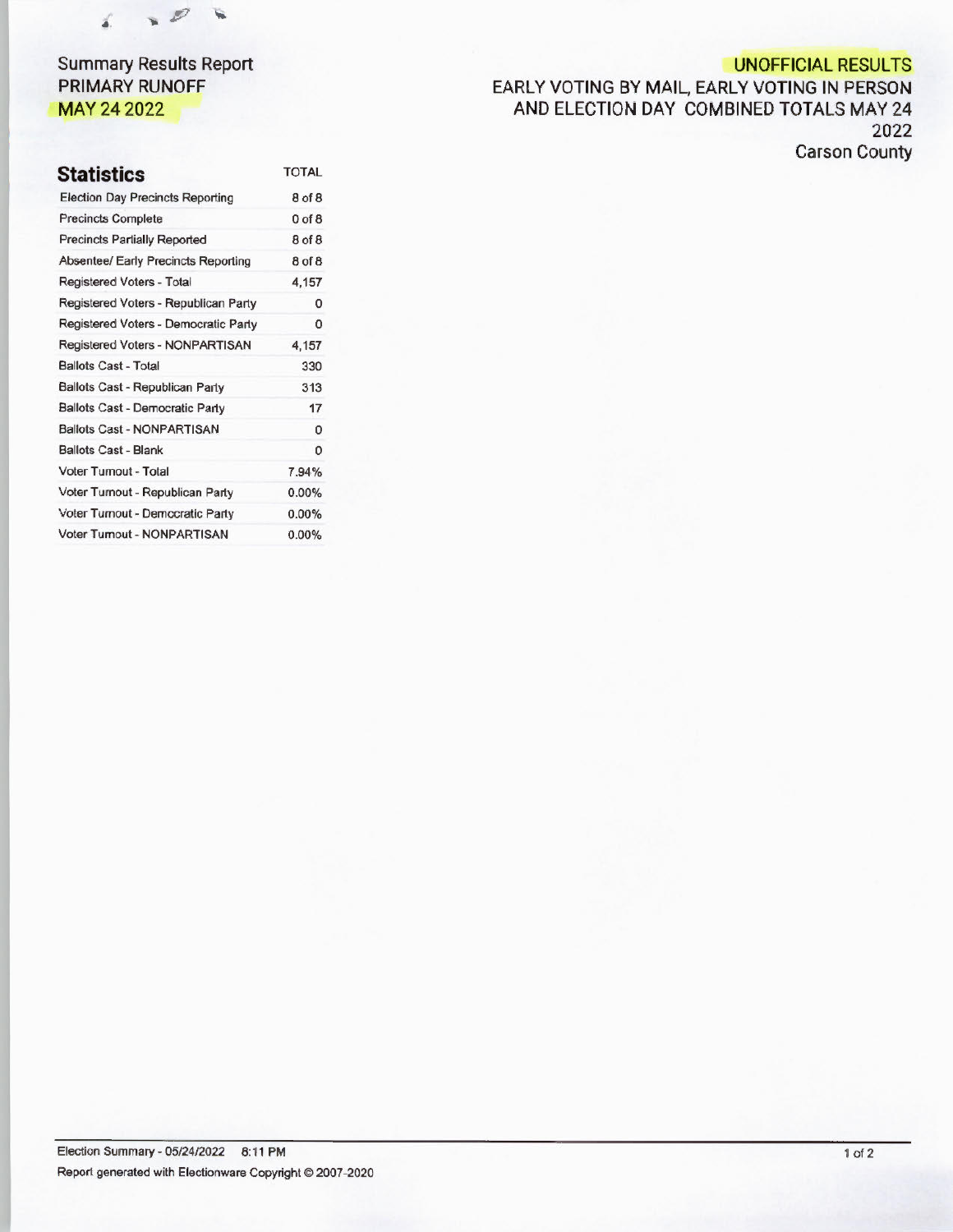

# **Summary Results Report PRIMARY RUNOFF MAY 24 2022**

# **UNOFFICIAL RESULTS**

**EARLY VOTING BY MAIL, EARLY VOTING IN PERSON AND ELECTION DAY COMBINED TOTALS MAY 24 2022 Carson County** 

| <b>Statistics</b>                       | <b>TOTAL</b> |
|-----------------------------------------|--------------|
| <b>Election Day Precincts Reporting</b> | 8 of 8       |
| <b>Precincts Complete</b>               | $0$ of $8$   |
| <b>Precincts Partially Reported</b>     | 8 of 8       |
| Absentee/ Early Precincts Reporting     | 8 of 8       |
| Registered Voters - Total               | 4,157        |
| Registered Voters - Republican Party    | 0            |
| Registered Voters - Democratic Party    | 0            |
| Registered Voters - NONPARTISAN         | 4,157        |
| <b>Ballots Cast - Total</b>             | 330          |
| Ballots Cast - Republican Party         | 313          |
| Ballots Cast - Democratic Party         | 17           |
| <b>Ballots Cast - NONPARTISAN</b>       | 0            |
| <b>Ballots Cast - Blank</b>             | Ω            |
| Voter Turnout - Total                   | 7.94%        |
| Voter Turnout - Republican Party        | 0.00%        |
| Voter Turnout - Democratic Party        | $0.00\%$     |
| Voter Turnout - NONPARTISAN             | 0.00%        |